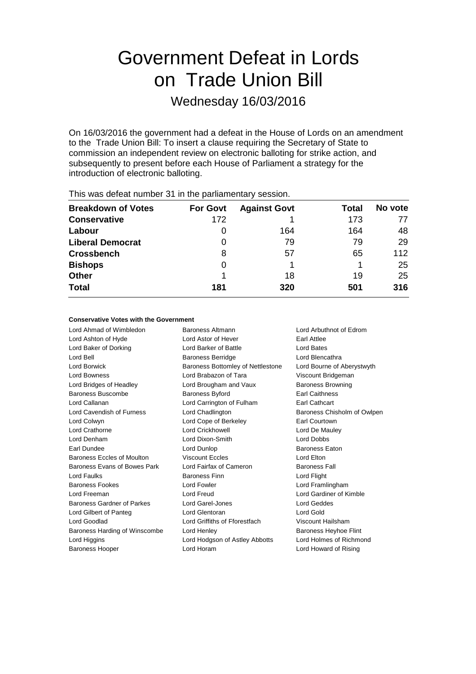# Government Defeat in Lords on Trade Union Bill

Wednesday 16/03/2016

On 16/03/2016 the government had a defeat in the House of Lords on an amendment to the Trade Union Bill: To insert a clause requiring the Secretary of State to commission an independent review on electronic balloting for strike action, and subsequently to present before each House of Parliament a strategy for the introduction of electronic balloting.

| <b>Breakdown of Votes</b> | <b>For Govt</b> | <b>Against Govt</b> | Total | No vote |
|---------------------------|-----------------|---------------------|-------|---------|
| <b>Conservative</b>       | 172             |                     | 173   | 77      |
| Labour                    | 0               | 164                 | 164   | 48      |
| <b>Liberal Democrat</b>   | O               | 79                  | 79    | 29      |
| <b>Crossbench</b>         | 8               | 57                  | 65    | 112     |
| <b>Bishops</b>            | 0               |                     |       | 25      |
| <b>Other</b>              |                 | 18                  | 19    | 25      |
| <b>Total</b>              | 181             | 320                 | 501   | 316     |
|                           |                 |                     |       |         |

This was defeat number 31 in the parliamentary session.

### **Conservative Votes with the Government**

Lord Ahmad of Wimbledon Baroness Altmann Lord Arbuthnot of Edrom Lord Ashton of Hyde **Lord Astor of Hever** Earl Attlee Lord Baker of Dorking Lord Barker of Battle Lord Bates Lord Bell **Baroness Berridge** Lord Blencathra Lord Borwick **Baroness Bottomley of Nettlestone** Lord Bourne of Aberystwyth Lord Bowness Lord Brabazon of Tara Viscount Bridgeman Lord Bridges of Headley **Lord Brougham and Vaux** Baroness Browning Baroness Buscombe **Baroness Byford** Earl Caithness Lord Callanan Lord Carrington of Fulham Earl Cathcart Lord Cavendish of Furness Lord Chadlington Baroness Chisholm of Owlpen Lord Colwyn Lord Cope of Berkeley Earl Courtown Lord Crathorne **Lord Crickhowell** Lord Crickhowell **Lord De Mauley** Lord Denham Lord Dixon-Smith Lord Dobbs Earl Dundee **Lord Dunlop Lord Dunlop Baroness Eaton** Baroness Eccles of Moulton **Viscount Eccles** Lord Elton Baroness Evans of Bowes Park Lord Fairfax of Cameron Baroness Fall Lord Faulks Baroness Finn Lord Flight Baroness Fookes **Lord Fowler** Lord Framlingham Lord Freeman Lord Freud Lord Gardiner of Kimble Baroness Gardner of Parkes Lord Garel-Jones Lord Geddes Lord Gilbert of Panteg **Lord Glentoran** Lord Gold Lord Gold Lord Goodlad Lord Griffiths of Fforestfach Viscount Hailsham Baroness Harding of Winscombe Lord Henley **Baroness Heyhoe Flint** Lord Higgins Lord Hodgson of Astley Abbotts Lord Holmes of Richmond Baroness Hooper Lord Horam Lord Howard of Rising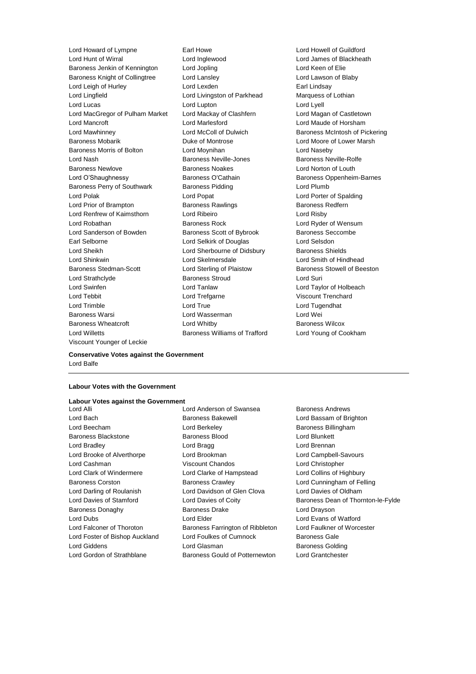Lord Hunt of Wirral Lord Inglewood Lord James of Blackheath Baroness Jenkin of Kennington Lord Jopling Communication Lord Keen of Elie Baroness Knight of Collingtree Lord Lansley Lord Lawson of Blaby Lord Leigh of Hurley **Lord Lexden** Lord Lexden **Earl Lindsay** Lord Lingfield **Lord Livingston of Parkhead** Marquess of Lothian Lord Lucas **Lord Lupton** Lord Lupton **Lord Lucas** Lord Lyell Lord MacGregor of Pulham Market Lord Mackay of Clashfern Lord Magan of Castletown Lord Mancroft Lord Marlesford Lord Maude of Horsham Lord Mawhinney **Lord McColl of Dulwich Baroness McIntosh of Pickering** Baroness Mobarik **Duke of Montrose** Lord Moore of Lower Marsh Baroness Morris of Bolton Lord Moynihan Lord Naseby Lord Nash **Baroness Neville-Jones** Baroness Neville-Rolfe Baroness Newlove **Baroness Noakes** Lord Norton of Louth Lord O'Shaughnessy Baroness O'Cathain Baroness Oppenheim-Barnes Baroness Perry of Southwark Baroness Pidding Lord Plumb Lord Polak Lord Popat Lord Porter of Spalding Lord Prior of Brampton **Baroness Rawlings** Baroness Redfern Lord Renfrew of Kaimsthorn Lord Ribeiro Lord Risby Lord Robathan **Baroness Rock** Lord Ryder of Wensum Lord Sanderson of Bowden Baroness Scott of Bybrook Baroness Seccombe Earl Selborne Lord Selkirk of Douglas Lord Selsdon Lord Sheikh Lord Sherbourne of Didsbury Baroness Shields Lord Shinkwin Lord Skelmersdale Lord Smith of Hindhead Baroness Stedman-Scott Lord Sterling of Plaistow Baroness Stowell of Beeston Lord Strathclyde Baroness Stroud Lord Suri Lord Swinfen Lord Tanlaw Lord Taylor of Holbeach Lord Tebbit Lord Trefgarne Viscount Trenchard Lord Trimble Lord True Lord Tugendhat Baroness Warsi Lord Wasserman Lord Wei Baroness Wheatcroft Lord Whitby Baroness Wilcox Lord Willetts Baroness Williams of Trafford Lord Young of Cookham Viscount Younger of Leckie

Lord Howard of Lympne Earl Howe Lord Howell of Guildford

**Conservative Votes against the Government** Lord Balfe

### **Labour Votes with the Government**

### **Labour Votes against the Government**<br>Lord Alli

- 
- Lord Anderson of Swansea Baroness Andrews Lord Bach **Baroness Bakewell Baroness Bakewell Lord Bassam of Brighton** Lord Beecham **Lord Berkeley** Baroness Billingham Baroness Blackstone Baroness Blood Lord Blunkett Lord Bradley Lord Bragg Lord Brennan Lord Brooke of Alverthorpe Lord Brookman Lord Campbell-Savours Lord Cashman Viscount Chandos Lord Christopher Lord Clark of Windermere Lord Clarke of Hampstead Lord Collins of Highbury Baroness Corston **Baroness Crawley Community** Lord Cunningham of Felling Lord Darling of Roulanish Lord Davidson of Glen Clova Lord Davies of Oldham Baroness Donaghy Baroness Drake Lord Drayson Lord Dubs Lord Elder Lord Evans of Watford Lord Falconer of Thoroton Baroness Farrington of Ribbleton Lord Faulkner of Worcester Lord Foster of Bishop Auckland Lord Foulkes of Cumnock Baroness Gale Lord Giddens **Lord Glasman** Baroness Golding Lord Gordon of Strathblane **Baroness Gould of Potternewton** Lord Grantchester
- Lord Davies of Stamford **Lord Davies of Coity** Baroness Dean of Thornton-le-Fylde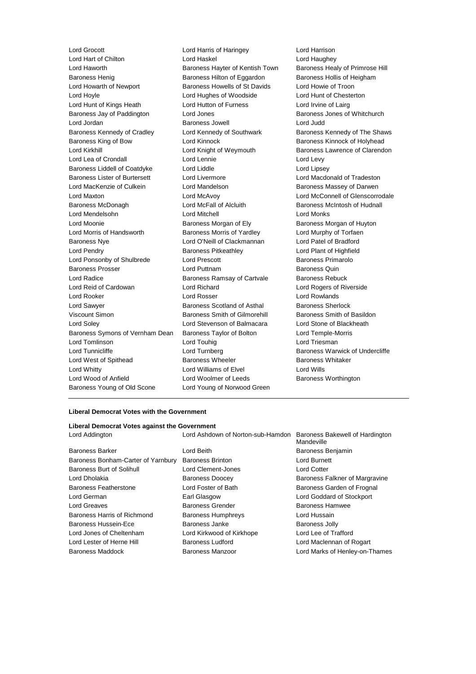Lord Grocott Lord Harris of Haringey Lord Harrison Lord Hart of Chilton Lord Haskel Lord Haughey Lord Haworth Baroness Hayter of Kentish Town Baroness Healy of Primrose Hill Baroness Henig Baroness Hilton of Eggardon Baroness Hollis of Heigham Lord Howarth of Newport **Baroness Howells of St Davids** Lord Howie of Troon Lord Hoyle Lord Hughes of Woodside Lord Hunt of Chesterton Lord Hunt of Kings Heath **Lord Hutton of Furness** Lord Irvine of Lairg Baroness Jay of Paddington **Lord Jones Example 2** Baroness Jones of Whitchurch Lord Jordan Baroness Jowell Lord Judd Baroness Kennedy of Cradley **Lord Kennedy of Southwark** Baroness Kennedy of The Shaws Baroness King of Bow **Lord Kinnock** Baroness Kinnock of Holyhead Lord Kirkhill **Lord Knight of Weymouth** Baroness Lawrence of Clarendon Lord Lea of Crondall **Lord Lennie** Lord Lennie Lord Levy Baroness Liddell of Coatdyke Lord Liddle Lord Lipsey Baroness Lister of Burtersett Lord Livermore Lord Macdonald of Tradeston Lord MacKenzie of Culkein Lord Mandelson Baroness Massey of Darwen Lord Maxton Lord McAvoy Lord McConnell of Glenscorrodale Baroness McDonagh Lord McFall of Alcluith Baroness McIntosh of Hudnall Lord Mendelsohn Lord Mitchell Lord Monks Lord Moonie **Baroness Morgan of Ely** Baroness Morgan of Huyton<br>
Baroness Morris of Yardley **Baroness Morris of Yardley Baroness Morris of Yardley Baroness Morris of Nurphy of Torfaen** Baroness Nye Lord O'Neill of Clackmannan Lord Patel of Bradford Lord Pendry Baroness Pitkeathley Lord Plant of Highfield Lord Ponsonby of Shulbrede Lord Prescott Baroness Primarolo Baroness Prosser Lord Puttnam Baroness Quin Lord Radice **Baroness Ramsay of Cartvale** Baroness Rebuck Lord Reid of Cardowan Lord Richard Lord Rogers of Riverside Lord Rooker Lord Rosser Lord Rowlands Lord Sawyer **Baroness Scotland of Asthal** Baroness Sherlock Viscount Simon **Baroness Smith of Gilmorehill** Baroness Smith of Basildon Lord Soley Lord Stevenson of Balmacara Lord Stone of Blackheath Baroness Symons of Vernham Dean Baroness Taylor of Bolton Lord Temple-Morris Lord Tomlinson **Lord Touhig Lord Triesman** Lord Triesman Lord Tunnicliffe **Lord Turnberg** Lord Turnberg Baroness Warwick of Undercliffe Lord West of Spithead **Baroness Wheeler** Baroness Whitaker Lord Whitty Lord Williams of Elvel Lord Wills Lord Wood of Anfield **Lord Woolmer of Leeds** Baroness Worthington Baroness Young of Old Scone Lord Young of Norwood Green

Baroness Morris of Yardley **Lord Murphy of Torfaen** 

### **Liberal Democrat Votes with the Government**

| Liberal Democrat Votes against the Government |                                   |                                               |  |
|-----------------------------------------------|-----------------------------------|-----------------------------------------------|--|
| Lord Addington                                | Lord Ashdown of Norton-sub-Hamdon | Baroness Bakewell of Hardington<br>Mandeville |  |
| <b>Baroness Barker</b>                        | Lord Beith                        | Baroness Benjamin                             |  |
| Baroness Bonham-Carter of Yarnbury            | <b>Baroness Brinton</b>           | Lord Burnett                                  |  |
| Baroness Burt of Solihull                     | Lord Clement-Jones                | <b>Lord Cotter</b>                            |  |
| Lord Dholakia                                 | <b>Baroness Doocey</b>            | Baroness Falkner of Margravine                |  |
| Baroness Featherstone                         | Lord Foster of Bath               | Baroness Garden of Frognal                    |  |
| Lord German                                   | Earl Glasgow                      | Lord Goddard of Stockport                     |  |
| Lord Greaves                                  | Baroness Grender                  | Baroness Hamwee                               |  |
| Baroness Harris of Richmond                   | <b>Baroness Humphreys</b>         | Lord Hussain                                  |  |
| Baroness Hussein-Ece                          | Baroness Janke                    | <b>Baroness Jolly</b>                         |  |
| Lord Jones of Cheltenham                      | Lord Kirkwood of Kirkhope         | Lord Lee of Trafford                          |  |
| Lord Lester of Herne Hill                     | Baroness Ludford                  | Lord Maclennan of Rogart                      |  |
| <b>Baroness Maddock</b>                       | Baroness Manzoor                  | Lord Marks of Henley-on-Thames                |  |